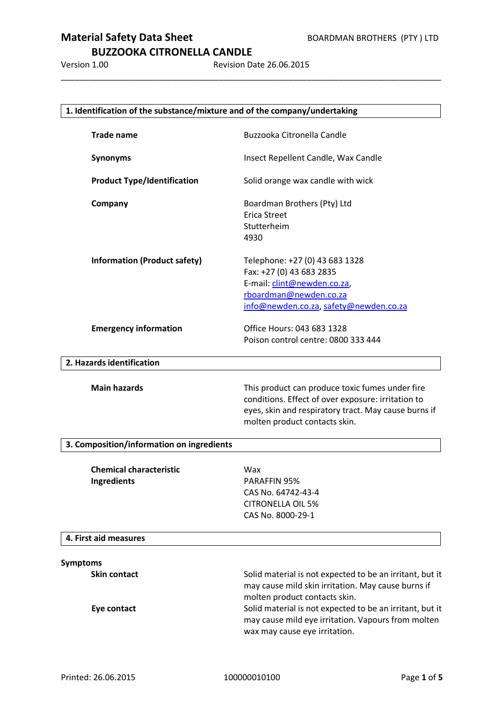### **BUZZOOKA CITRONELLA CANDLE**

Version 1.00 Revision Date 26.06.2015

\_\_\_\_\_\_\_\_\_\_\_\_\_\_\_\_\_\_\_\_\_\_\_\_\_\_\_\_\_\_\_\_\_\_\_\_\_\_\_\_\_\_\_\_\_\_\_\_\_\_\_\_\_\_\_\_\_\_\_\_\_\_\_\_\_\_\_\_\_\_\_\_\_\_\_\_\_\_\_\_\_\_

| 1. Identification of the substance/mixture and of the company/undertaking                                                                                                                      |  |  |  |
|------------------------------------------------------------------------------------------------------------------------------------------------------------------------------------------------|--|--|--|
| Buzzooka Citronella Candle                                                                                                                                                                     |  |  |  |
| Insect Repellent Candle, Wax Candle                                                                                                                                                            |  |  |  |
| Solid orange wax candle with wick                                                                                                                                                              |  |  |  |
| Boardman Brothers (Pty) Ltd<br><b>Erica Street</b><br>Stutterheim<br>4930                                                                                                                      |  |  |  |
| Telephone: +27 (0) 43 683 1328<br>Fax: +27 (0) 43 683 2835<br>E-mail: clint@newden.co.za,<br>rboardman@newden.co.za<br>info@newden.co.za, safety@newden.co.za                                  |  |  |  |
| Office Hours: 043 683 1328<br>Poison control centre: 0800 333 444                                                                                                                              |  |  |  |
|                                                                                                                                                                                                |  |  |  |
| This product can produce toxic fumes under fire<br>conditions. Effect of over exposure: irritation to<br>eyes, skin and respiratory tract. May cause burns if<br>molten product contacts skin. |  |  |  |
|                                                                                                                                                                                                |  |  |  |
| Wax<br>PARAFFIN 95%<br>CAS No. 64742-43-4<br><b>CITRONELLA OIL 5%</b><br>CAS No. 8000-29-1                                                                                                     |  |  |  |
|                                                                                                                                                                                                |  |  |  |
|                                                                                                                                                                                                |  |  |  |
|                                                                                                                                                                                                |  |  |  |
|                                                                                                                                                                                                |  |  |  |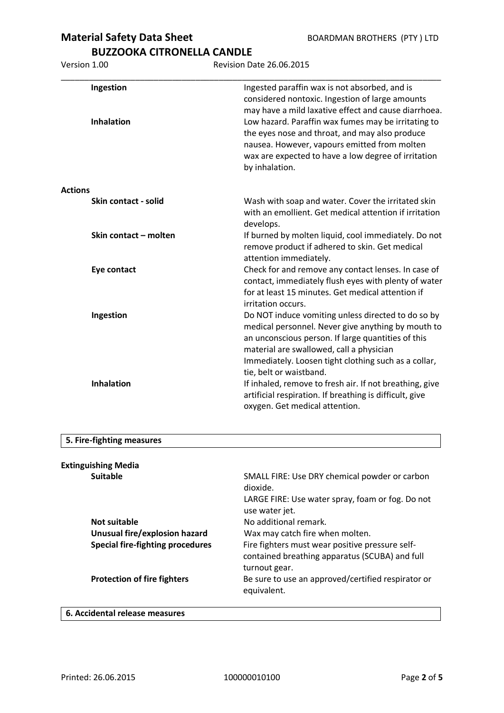**BUZZOOKA CITRONELLA CANDLE**

Version 1.00 Revision Date 26.06.2015

|                | Ingestion<br><b>Inhalation</b> | Ingested paraffin wax is not absorbed, and is<br>considered nontoxic. Ingestion of large amounts<br>may have a mild laxative effect and cause diarrhoea.<br>Low hazard. Paraffin wax fumes may be irritating to<br>the eyes nose and throat, and may also produce<br>nausea. However, vapours emitted from molten<br>wax are expected to have a low degree of irritation<br>by inhalation. |
|----------------|--------------------------------|--------------------------------------------------------------------------------------------------------------------------------------------------------------------------------------------------------------------------------------------------------------------------------------------------------------------------------------------------------------------------------------------|
| <b>Actions</b> |                                |                                                                                                                                                                                                                                                                                                                                                                                            |
|                | Skin contact - solid           | Wash with soap and water. Cover the irritated skin<br>with an emollient. Get medical attention if irritation<br>develops.                                                                                                                                                                                                                                                                  |
|                | Skin contact - molten          | If burned by molten liquid, cool immediately. Do not<br>remove product if adhered to skin. Get medical<br>attention immediately.                                                                                                                                                                                                                                                           |
|                | Eye contact                    | Check for and remove any contact lenses. In case of<br>contact, immediately flush eyes with plenty of water<br>for at least 15 minutes. Get medical attention if<br>irritation occurs.                                                                                                                                                                                                     |
|                | Ingestion                      | Do NOT induce vomiting unless directed to do so by<br>medical personnel. Never give anything by mouth to<br>an unconscious person. If large quantities of this<br>material are swallowed, call a physician<br>Immediately. Loosen tight clothing such as a collar,<br>tie, belt or waistband.                                                                                              |
|                | <b>Inhalation</b>              | If inhaled, remove to fresh air. If not breathing, give<br>artificial respiration. If breathing is difficult, give<br>oxygen. Get medical attention.                                                                                                                                                                                                                                       |

#### **5. Fire-fighting measures**

| <b>Extinguishing Media</b>              |                                                                                                                    |
|-----------------------------------------|--------------------------------------------------------------------------------------------------------------------|
| <b>Suitable</b>                         | SMALL FIRE: Use DRY chemical powder or carbon<br>dioxide.                                                          |
|                                         | LARGE FIRE: Use water spray, foam or fog. Do not<br>use water jet.                                                 |
| Not suitable                            | No additional remark.                                                                                              |
| Unusual fire/explosion hazard           | Wax may catch fire when molten.                                                                                    |
| <b>Special fire-fighting procedures</b> | Fire fighters must wear positive pressure self-<br>contained breathing apparatus (SCUBA) and full<br>turnout gear. |
| <b>Protection of fire fighters</b>      | Be sure to use an approved/certified respirator or<br>equivalent.                                                  |
|                                         |                                                                                                                    |

#### **6. Accidental release measures**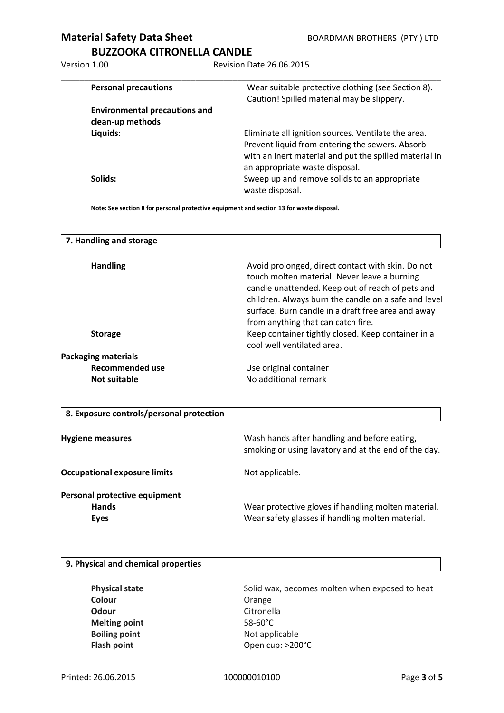## **BUZZOOKA CITRONELLA CANDLE**

Version 1.00 Revision Date 26.06.2015

| <b>Personal precautions</b>          | Wear suitable protective clothing (see Section 8).<br>Caution! Spilled material may be slippery.                                                                                                   |
|--------------------------------------|----------------------------------------------------------------------------------------------------------------------------------------------------------------------------------------------------|
| <b>Environmental precautions and</b> |                                                                                                                                                                                                    |
| clean-up methods                     |                                                                                                                                                                                                    |
| Liquids:                             | Eliminate all ignition sources. Ventilate the area.<br>Prevent liquid from entering the sewers. Absorb<br>with an inert material and put the spilled material in<br>an appropriate waste disposal. |
| Solids:                              | Sweep up and remove solids to an appropriate<br>waste disposal.                                                                                                                                    |

**Note: See section 8 for personal protective equipment and section 13 for waste disposal.**

| 7. Handling and storage                  |                                                                                                                                                                                                                                                                                                           |
|------------------------------------------|-----------------------------------------------------------------------------------------------------------------------------------------------------------------------------------------------------------------------------------------------------------------------------------------------------------|
| <b>Handling</b>                          | Avoid prolonged, direct contact with skin. Do not<br>touch molten material. Never leave a burning<br>candle unattended. Keep out of reach of pets and<br>children. Always burn the candle on a safe and level<br>surface. Burn candle in a draft free area and away<br>from anything that can catch fire. |
| <b>Storage</b>                           | Keep container tightly closed. Keep container in a<br>cool well ventilated area.                                                                                                                                                                                                                          |
| <b>Packaging materials</b>               |                                                                                                                                                                                                                                                                                                           |
| <b>Recommended use</b>                   | Use original container                                                                                                                                                                                                                                                                                    |
| <b>Not suitable</b>                      | No additional remark                                                                                                                                                                                                                                                                                      |
| 8. Exposure controls/personal protection |                                                                                                                                                                                                                                                                                                           |
| <b>Hygiene measures</b>                  | Wash hands after handling and before eating,<br>smoking or using lavatory and at the end of the day.                                                                                                                                                                                                      |
| <b>Occupational exposure limits</b>      | Not applicable.                                                                                                                                                                                                                                                                                           |
| Personal protective equipment            |                                                                                                                                                                                                                                                                                                           |
| Hands                                    | Wear protective gloves if handling molten material.                                                                                                                                                                                                                                                       |
| <b>Eyes</b>                              | Wear safety glasses if handling molten material.                                                                                                                                                                                                                                                          |
|                                          |                                                                                                                                                                                                                                                                                                           |

#### **9. Physical and chemical properties**

| <b>Physical state</b> | Solid wax, becomes molten when exposed to heat |
|-----------------------|------------------------------------------------|
| Colour                | Orange                                         |
| Odour                 | Citronella                                     |
| <b>Melting point</b>  | $58-60^{\circ}$ C                              |
| <b>Boiling point</b>  | Not applicable                                 |
| <b>Flash point</b>    | Open cup: >200°C                               |
|                       |                                                |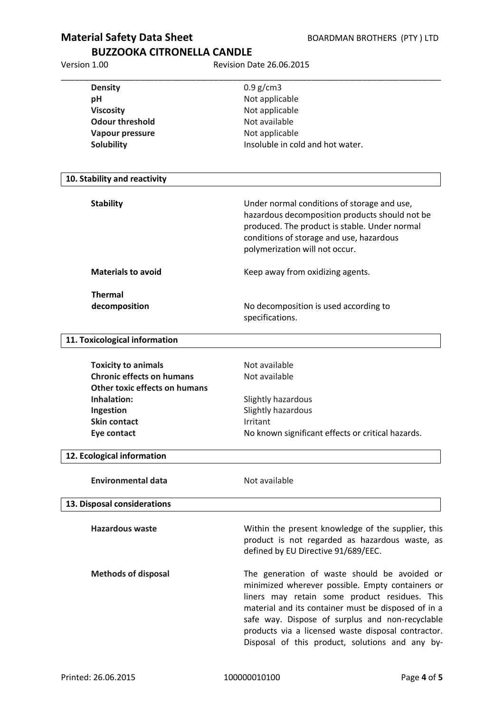## **BUZZOOKA CITRONELLA CANDLE**

Version 1.00 Revision Date 26.06.2015

| <b>Density</b>                       | $0.9$ g/cm3                                                                                                                                                                                                                                                                                                                                                          |
|--------------------------------------|----------------------------------------------------------------------------------------------------------------------------------------------------------------------------------------------------------------------------------------------------------------------------------------------------------------------------------------------------------------------|
| pH                                   | Not applicable                                                                                                                                                                                                                                                                                                                                                       |
| <b>Viscosity</b>                     | Not applicable                                                                                                                                                                                                                                                                                                                                                       |
| <b>Odour threshold</b>               | Not available                                                                                                                                                                                                                                                                                                                                                        |
| <b>Vapour pressure</b>               | Not applicable                                                                                                                                                                                                                                                                                                                                                       |
| <b>Solubility</b>                    | Insoluble in cold and hot water.                                                                                                                                                                                                                                                                                                                                     |
| 10. Stability and reactivity         |                                                                                                                                                                                                                                                                                                                                                                      |
|                                      |                                                                                                                                                                                                                                                                                                                                                                      |
| <b>Stability</b>                     | Under normal conditions of storage and use,<br>hazardous decomposition products should not be                                                                                                                                                                                                                                                                        |
|                                      | produced. The product is stable. Under normal                                                                                                                                                                                                                                                                                                                        |
|                                      | conditions of storage and use, hazardous                                                                                                                                                                                                                                                                                                                             |
|                                      | polymerization will not occur.                                                                                                                                                                                                                                                                                                                                       |
| <b>Materials to avoid</b>            | Keep away from oxidizing agents.                                                                                                                                                                                                                                                                                                                                     |
| <b>Thermal</b>                       |                                                                                                                                                                                                                                                                                                                                                                      |
| decomposition                        | No decomposition is used according to                                                                                                                                                                                                                                                                                                                                |
|                                      | specifications.                                                                                                                                                                                                                                                                                                                                                      |
| 11. Toxicological information        |                                                                                                                                                                                                                                                                                                                                                                      |
| <b>Toxicity to animals</b>           | Not available                                                                                                                                                                                                                                                                                                                                                        |
| <b>Chronic effects on humans</b>     | Not available                                                                                                                                                                                                                                                                                                                                                        |
| <b>Other toxic effects on humans</b> |                                                                                                                                                                                                                                                                                                                                                                      |
| Inhalation:                          | Slightly hazardous                                                                                                                                                                                                                                                                                                                                                   |
| Ingestion                            | Slightly hazardous                                                                                                                                                                                                                                                                                                                                                   |
| <b>Skin contact</b>                  | Irritant                                                                                                                                                                                                                                                                                                                                                             |
| Eye contact                          | No known significant effects or critical hazards.                                                                                                                                                                                                                                                                                                                    |
| 12. Ecological information           |                                                                                                                                                                                                                                                                                                                                                                      |
| <b>Environmental data</b>            | Not available                                                                                                                                                                                                                                                                                                                                                        |
| 13. Disposal considerations          |                                                                                                                                                                                                                                                                                                                                                                      |
|                                      |                                                                                                                                                                                                                                                                                                                                                                      |
| <b>Hazardous waste</b>               | Within the present knowledge of the supplier, this<br>product is not regarded as hazardous waste, as<br>defined by EU Directive 91/689/EEC.                                                                                                                                                                                                                          |
| <b>Methods of disposal</b>           | The generation of waste should be avoided or<br>minimized wherever possible. Empty containers or<br>liners may retain some product residues. This<br>material and its container must be disposed of in a<br>safe way. Dispose of surplus and non-recyclable<br>products via a licensed waste disposal contractor.<br>Disposal of this product, solutions and any by- |